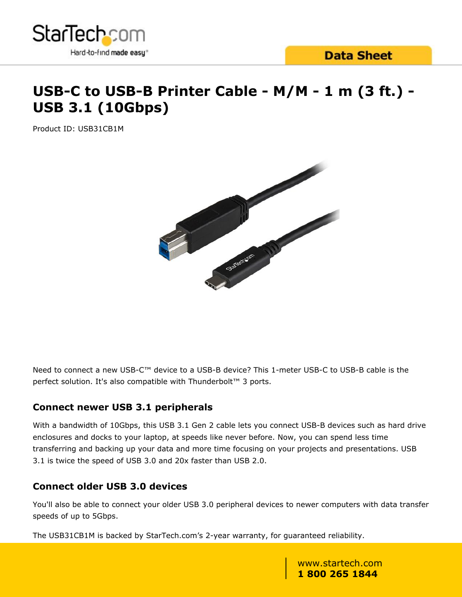

# **USB-C to USB-B Printer Cable - M/M - 1 m (3 ft.) - USB 3.1 (10Gbps)**

Product ID: USB31CB1M



Need to connect a new USB-C™ device to a USB-B device? This 1-meter USB-C to USB-B cable is the perfect solution. It's also compatible with Thunderbolt<sup>™</sup> 3 ports.

### **Connect newer USB 3.1 peripherals**

With a bandwidth of 10Gbps, this USB 3.1 Gen 2 cable lets you connect USB-B devices such as hard drive enclosures and docks to your laptop, at speeds like never before. Now, you can spend less time transferring and backing up your data and more time focusing on your projects and presentations. USB 3.1 is twice the speed of USB 3.0 and 20x faster than USB 2.0.

### **Connect older USB 3.0 devices**

You'll also be able to connect your older USB 3.0 peripheral devices to newer computers with data transfer speeds of up to 5Gbps.

The USB31CB1M is backed by StarTech.com's 2-year warranty, for guaranteed reliability.

www.startech.com **1 800 265 1844**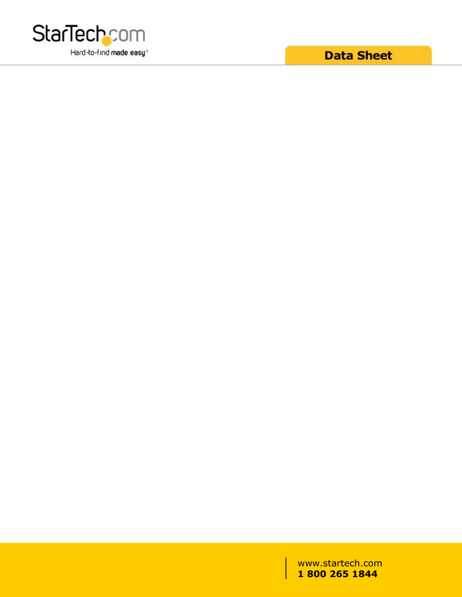

# **Data Sheet**

www.startech.com 1 800 265 1844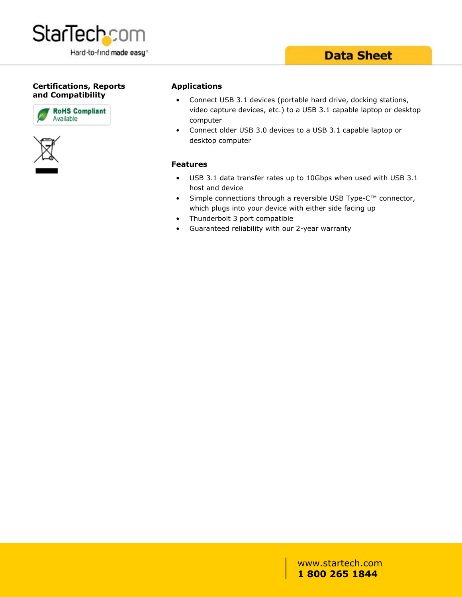

#### **Certifications, Reports and Compatibility**





#### **Applications**

- Connect USB 3.1 devices (portable hard drive, docking stations, video capture devices, etc.) to a USB 3.1 capable laptop or desktop computer
- Connect older USB 3.0 devices to a USB 3.1 capable laptop or desktop computer

#### **Features**

- USB 3.1 data transfer rates up to 10Gbps when used with USB 3.1 host and device
- Simple connections through a reversible USB Type-C™ connector, which plugs into your device with either side facing up
- Thunderbolt 3 port compatible
- Guaranteed reliability with our 2-year warranty